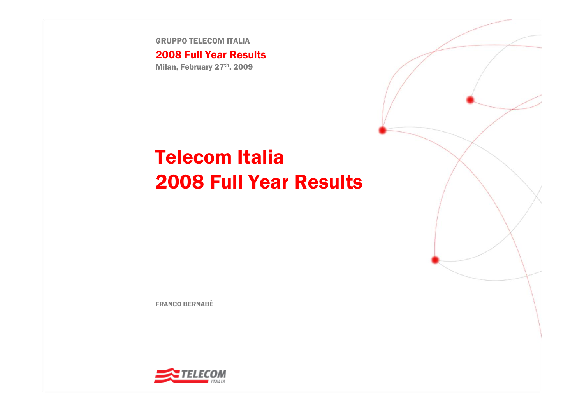GRUPPO TELECOM ITALIA

#### 2008 Full Year Results

Milan, February 27th, 2009

# Telecom Italia2008 Full Year Results

FRANCO BERNABÈ

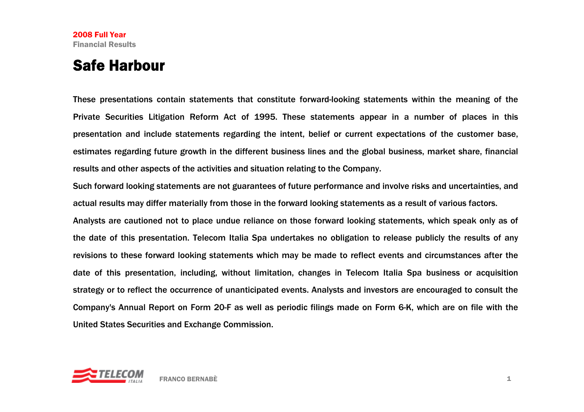### Safe Harbour

These presentations contain statements that constitute forward-looking statements within the meaning of the Private Securities Litigation Reform Act of 1995. These statements appear in a number of places in this presentation and include statements regarding the intent, belief or current expectations of the customer base, estimates regarding future growth in the different business lines and the global business, market share, financial results and other aspects of the activities and situation relating to the Company.

Such forward looking statements are not guarantees of future performance and involve risks and uncertainties, and actual results may differ materially from those in the forward looking statements as a result of various factors.

Analysts are cautioned not to place undue reliance on those forward looking statements, which speak only as of the date of this presentation. Telecom Italia Spa undertakes no obligation to release publicly the results of any revisions to these forward looking statements which may be made to reflect events and circumstances after the date of this presentation, including, without limitation, changes in Telecom Italia Spa business or acquisition strategy or to reflect the occurrence of unanticipated events. Analysts and investors are encouraged to consult the Company's Annual Report on Form 20-F as well as periodic filings made on Form 6-K, which are on file with the United States Securities and Exchange Commission.

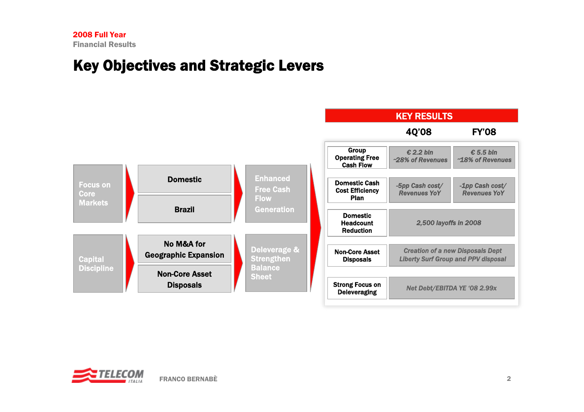### Key Objectives and Strategic Levers



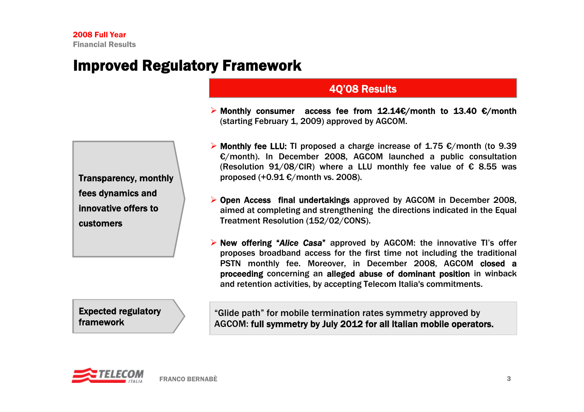### Improved Regulatory Framework

#### Transparency, monthly fees dynamics and innovative offers to customers

#### Expected regulatory framework

 $\triangleright$  Monthly consumer access fee from 12.14€/month to 13.40 €/month (starting February 1, 2009) approved by AGCOM.

4Q'08 Results

- **► Monthly fee LLU: TI proposed a charge increase of 1.75**  $\epsilon$ **/month (to 9.39** €/month). In December 2008, AGCOM launched a public consultation (Resolution 91/08/CIR) where a LLU monthly fee value of  $\epsilon$  8.55 was proposed  $(+0.91)$   $\epsilon$ /month vs. 2008).
- ¾ Open Access final undertakings approved by AGCOM in December 2008, aimed at completing and strengthening the directions indicated in the Equal Treatment Resolution (152/02/CONS).
- ¾ New offering "*Alice Casa*" approved by AGCOM: the innovative TI's offer proposes broadband access for the first time not including the traditional PSTN monthly fee. Moreover, in December 2008, AGCOM closed a proceeding concerning an alleged abuse of dominant position in winback and retention activities, by accepting Telecom Italia's commitments.

"Glide path" for mobile termination rates symmetry approved by AGCOM: full symmetry by July 2012 for all Italian mobile operators.

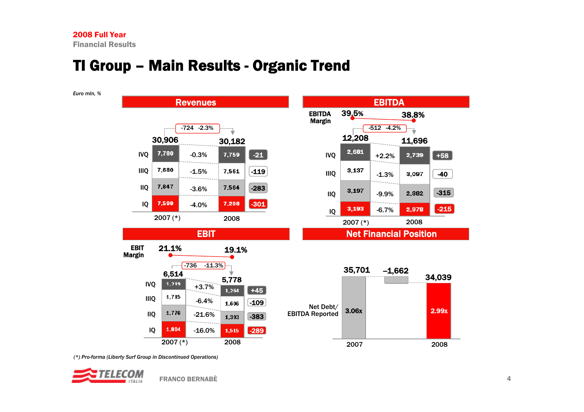### TI Group – Main Results - Organic Trend



*(\*) Pro-forma (Liberty Surf Group in Discontinued Operations)*

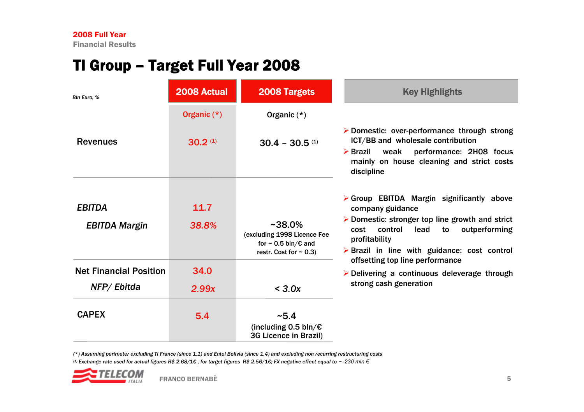### TI Group – Target Full Year 2008

| Bln Euro. %                                 | 2008 Actual         | <b>2008 Targets</b>                                                                                              | <b>Key Highlights</b>                                                                                                                                                                                                                                                            |
|---------------------------------------------|---------------------|------------------------------------------------------------------------------------------------------------------|----------------------------------------------------------------------------------------------------------------------------------------------------------------------------------------------------------------------------------------------------------------------------------|
|                                             | Organic $(*)$       | Organic $(*)$                                                                                                    |                                                                                                                                                                                                                                                                                  |
| <b>Revenues</b>                             | 30.2 <sup>(1)</sup> | $30.4 - 30.5$ (1)                                                                                                | > Domestic: over-performance through strong<br>ICT/BB and wholesale contribution<br>performance: 2H08 focus<br>$\triangleright$ Brazil<br>weak<br>mainly on house cleaning and strict costs<br>discipline                                                                        |
| <b>EBITDA</b><br><b>EBITDA Margin</b>       | 11.7<br>38.8%       | $~1$ - 38.0%<br>(excluding 1998 Licence Fee<br>for $\sim$ 0.5 bln/ $\epsilon$ and<br>restr. Cost for $\sim$ 0.3) | $\triangleright$ Group EBITDA Margin significantly above<br>company guidance<br>$\triangleright$ Domestic: stronger top line growth and strict<br>control<br>cost<br>lead<br>to<br>outperforming<br>profitability<br>$\triangleright$ Brazil in line with guidance: cost control |
| <b>Net Financial Position</b><br>NFP/Ebitda | 34.0<br>2.99x       | < 3.0x                                                                                                           | offsetting top line performance<br>$\triangleright$ Delivering a continuous deleverage through<br>strong cash generation                                                                                                                                                         |
| <b>CAPEX</b>                                | 5.4                 | ~5.4<br>(including 0.5 bln/ $\epsilon$<br>3G Licence in Brazil)                                                  |                                                                                                                                                                                                                                                                                  |

*(\*) Assuming perimeter excluding TI France (since 1.1) and Entel Bolivia (since 1.4) and excluding non recurring restructuring costs*

(1) Exchange rate used for actual figures R\$ 2.68/1€, for target figures R\$ 2.56/1€; FX negative effect equal to ~-230 mln €

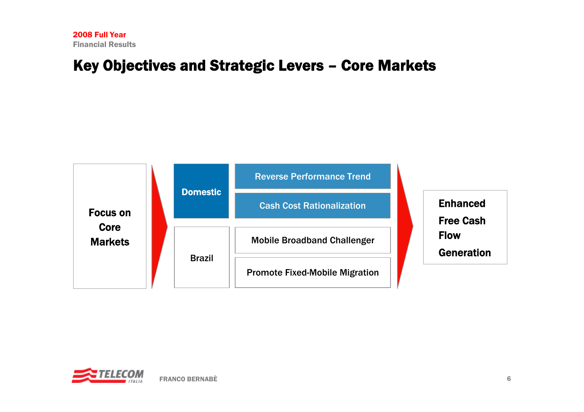### Key Objectives and Strategic Levers – Core Markets



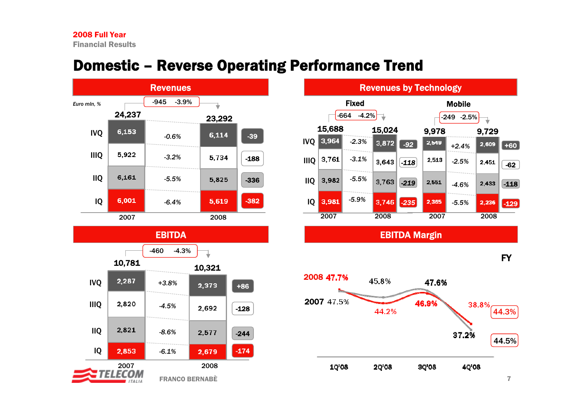### Domestic – Reverse Operating Performance Trend





| <b>Revenues by Technology</b> |        |         |                   |        |       |         |       |        |
|-------------------------------|--------|---------|-------------------|--------|-------|---------|-------|--------|
| Fixed                         |        |         | <b>Mobile</b>     |        |       |         |       |        |
| $-4.2%$<br>$-664$             |        |         | $-249$<br>$-2.5%$ |        |       |         |       |        |
|                               | 15,688 |         | 15,024            |        | 9,978 |         | 9,729 |        |
| <b>IVO</b>                    | 3,964  | $-2.3%$ | 3,872             | $-92$  | 2,549 | $+2.4%$ | 2,609 | $+60$  |
| <b>IIIO</b>                   | 3,761  | $-3.1%$ | 3,643             | $-118$ | 2,513 | $-2.5%$ | 2.451 | $-62$  |
| <b>IIQ</b>                    | 3,982  | $-5.5%$ | 3,763             | $-219$ | 2,551 | $-4.6%$ | 2.433 | $-118$ |
| IQ                            | 3,981  | $-5.9%$ | 3,746             | $-235$ | 2,365 | $-5.5%$ | 2,236 | $-129$ |
|                               | 2007   |         | 2008              |        | 2007  |         | 2008  |        |

EBITDA Margin



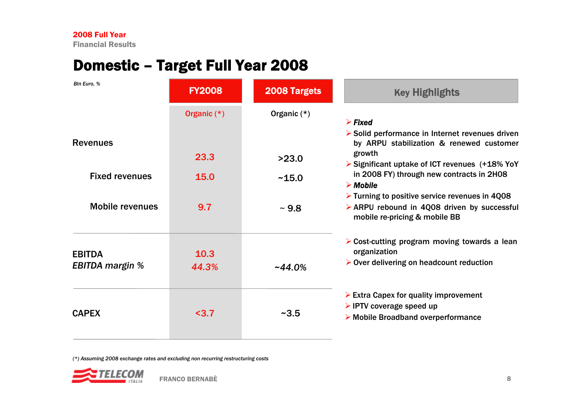# Domestic – Target Full Year 2008

| <b>FY2008</b> | 2008 Targets  | <b>Key Highlights</b>                                                                                                                         |  |
|---------------|---------------|-----------------------------------------------------------------------------------------------------------------------------------------------|--|
| Organic (*)   | Organic $(*)$ | $\triangleright$ Fixed<br>Solid performance in Internet revenues driven                                                                       |  |
| 23.3          | >23.0         | by ARPU stabilization & renewed customer<br>growth<br>Significant uptake of ICT revenues (+18% YoY                                            |  |
| <b>15.0</b>   | ~15.0         | in 2008 FY) through new contracts in 2H08<br>$\triangleright$ Mobile                                                                          |  |
| 9.7           | $\sim 9.8$    | $\triangleright$ Turning to positive service revenues in 4008<br>> ARPU rebound in 4Q08 driven by successful<br>mobile re-pricing & mobile BB |  |
| 10.3<br>44.3% | $-44.0%$      | $\triangleright$ Cost-cutting program moving towards a lean<br>organization<br>$\triangleright$ Over delivering on headcount reduction        |  |
| $3.7$         | ~2.5          | $\triangleright$ Extra Capex for quality improvement<br>$\triangleright$ IPTV coverage speed up<br>> Mobile Broadband overperformance         |  |
|               |               |                                                                                                                                               |  |

*(\*) Assuming 2008 exchange rates and excluding non recurring restructuring costs*

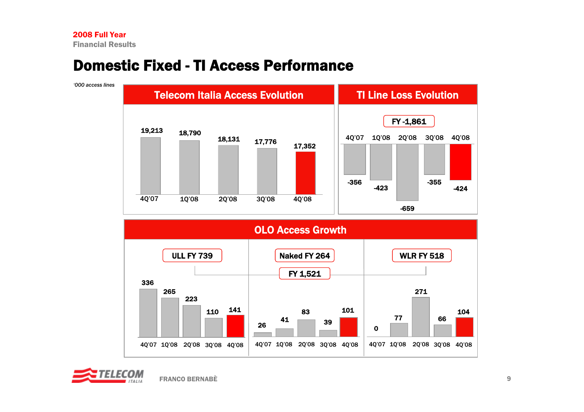*'000 access lines*

### Domestic Fixed -TI Access Performance



OLO Access Growth 336265223110 <sup>141</sup> 4Q'07 1Q'08 2Q'08 3Q'08 4Q'08 4Q'07 1Q'08 2Q'08 3Q'08 4Q'08 26 4183391014Q'07 1Q'08 2Q'08 3Q'08 4Q'08 27177 660104ULL FY 739Naked FY 264  $\vert$  WLR FY 518 FY 1,521

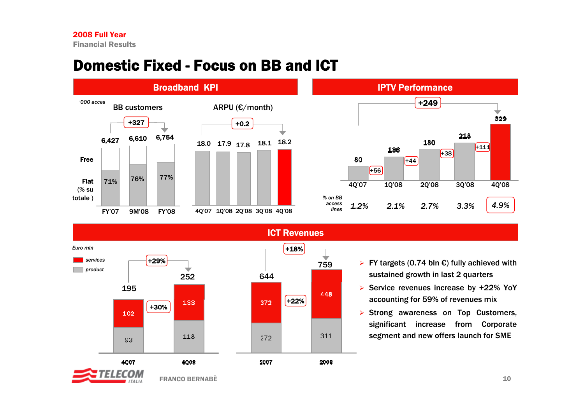### Domestic Fixed - Focus on BB and ICT





ICT Revenues



- ¾ FY targets (0.74 bln €) fully achieved with sustained growth in last 2 quarters
- ¾ Service revenues increase by +22% YoY accounting for 59% of revenues mix
- $\triangleright$  Strong awareness on Top Customers, significant increase from Corporate segment and new offers launch for SME

10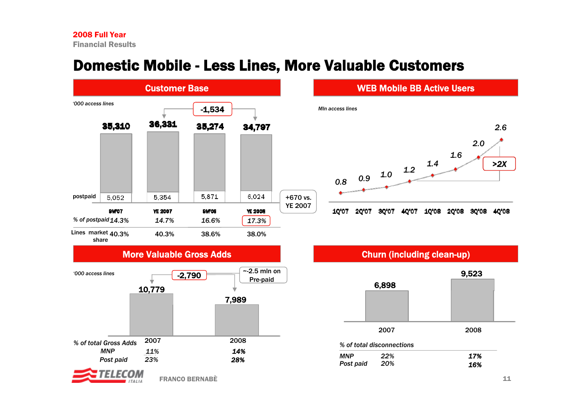# Domestic Mobile - Less Lines, More Valuable Customers



#### More Valuable Gross Adds



#### WEB Mobile BB Active Users





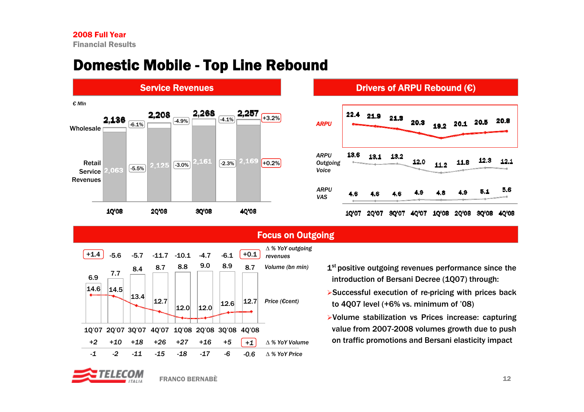### Domestic Mobile - Top Line Rebound

Service Revenues



#### Drivers of ARPU Rebound (€)





#### Focus on Outgoing

- 1<sup>st</sup> positive outgoing revenues performance since the introduction of Bersani Decree (1Q07) through:
- ¾Successful execution of re-pricing with prices back to 4Q07 level (+6% vs. minimum of '08)
- ¾Volume stabilization vs Prices increase: capturing value from 2007-2008 volumes growth due to push on traffic promotions and Bersani elasticity impact

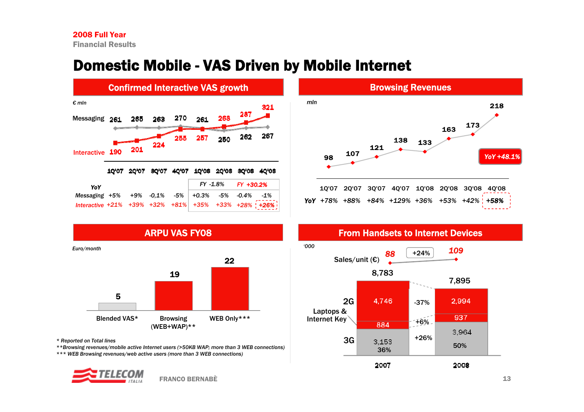## Domestic Mobile - VAS Driven by Mobile Internet





From Handsets to Internet Devices



ARPU VAS FY08 1922*Euro/month '000*

5Blended VAS\* Browsing (WEB+WAP)\*\* WEB Only\*\*\*

*\* Reported on Total lines*

*\*\*Browsing revenues/mobile active Internet users (>50KB WAP; more than 3 WEB connections) \*\*\* WEB Browsing revenues/web active users (more than 3 WEB connections)* 

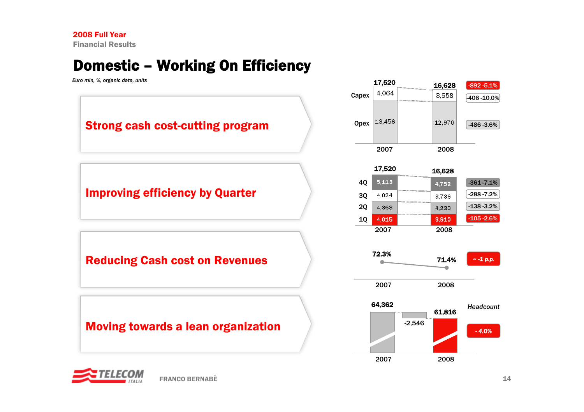# Domestic – Working On Efficiency



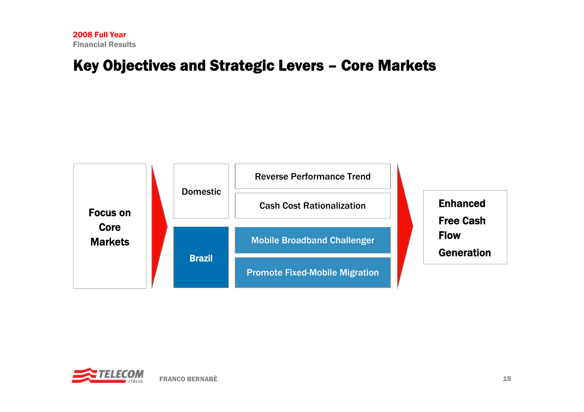#### Key Objectives and Strategic Levers – Core Markets



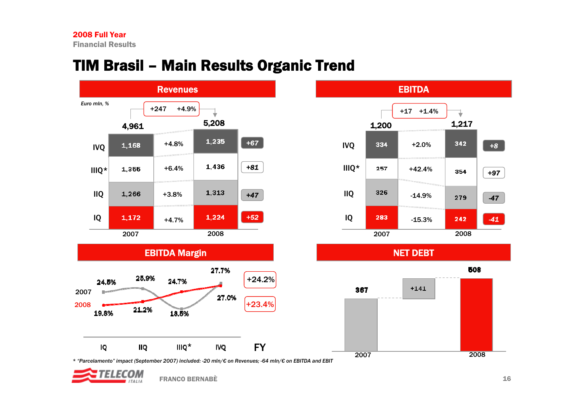# TIM Brasil – Main Results Organic Trend





508  $+141$ 



NET DEBT

*\* "Parcelamento" impact (September 2007) included: -20 mln/€ on Revenues; -64 mln/€ on EBITDA and EBIT* 

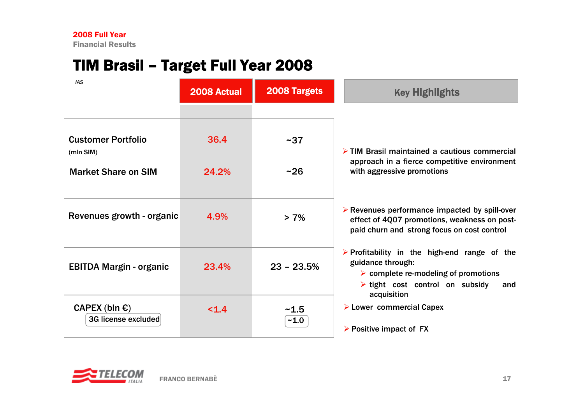# TIM Brasil – Target Full Year 2008

| <b>IAS</b>                                     | 2008 Actual | <b>2008 Targets</b> | <b>Key Highlights</b>                                                                                                                                                                            |  |
|------------------------------------------------|-------------|---------------------|--------------------------------------------------------------------------------------------------------------------------------------------------------------------------------------------------|--|
|                                                |             |                     |                                                                                                                                                                                                  |  |
| <b>Customer Portfolio</b><br>(mIn SIM)         | 36.4        | $~1$ - 37           | $\triangleright$ TIM Brasil maintained a cautious commercial                                                                                                                                     |  |
| <b>Market Share on SIM</b>                     | 24.2%       | $~1$ -26            | approach in a fierce competitive environment<br>with aggressive promotions                                                                                                                       |  |
| Revenues growth - organic                      | 4.9%        | $> 7\%$             | $\triangleright$ Revenues performance impacted by spill-over<br>effect of 4Q07 promotions, weakness on post-<br>paid churn and strong focus on cost control                                      |  |
| <b>EBITDA Margin - organic</b>                 | 23.4%       | $23 - 23.5%$        | $\triangleright$ Profitability in the high-end range of the<br>guidance through:<br>$\triangleright$ complete re-modeling of promotions<br>$\triangleright$ tight cost control on subsidy<br>and |  |
| CAPEX (bln $\epsilon$ )<br>3G license excluded | < 1.4       | ~1.5<br>$-1.0$      | acquisition<br>$\triangleright$ Lower commercial Capex<br>$\triangleright$ Positive impact of FX                                                                                                 |  |

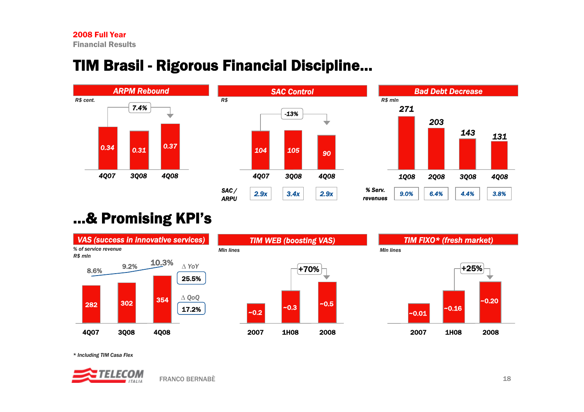# TIM Brasil - Rigorous Financial Discipline…







# …& Promising KPI's



*\* Including TIM Casa Flex*

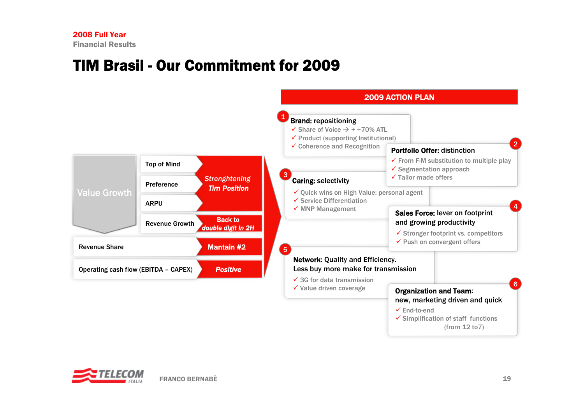### TIM Brasil - Our Commitment for 2009



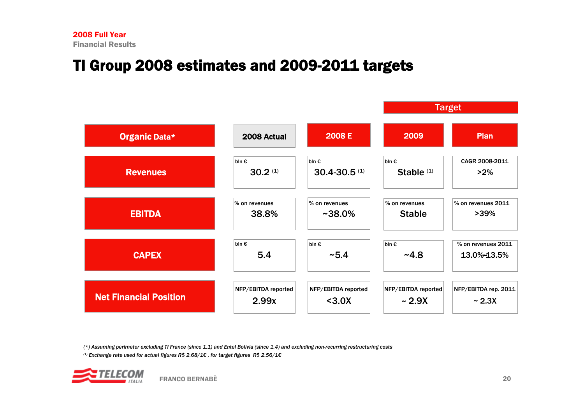# TI Group 2008 estimates and 2009-2011 targets

|                               |                     |                     |                            | <b>Target</b>        |  |  |
|-------------------------------|---------------------|---------------------|----------------------------|----------------------|--|--|
| Organic Data*                 | 2008 Actual         | 2008 E              | 2009                       | <b>Plan</b>          |  |  |
| <b>Revenues</b>               | bln $\epsilon$      | bln €               | $bln \mathbf{\varepsilon}$ | CAGR 2008-2011       |  |  |
|                               | 30.2 <sup>(1)</sup> | $30.4 - 30.5$ (1)   | Stable <sup>(1)</sup>      | $>2\%$               |  |  |
| <b>EBITDA</b>                 | % on revenues       | % on revenues       | % on revenues              | % on revenues 2011   |  |  |
|                               | 38.8%               | $~1438.0\%$         | <b>Stable</b>              | $>39\%$              |  |  |
| <b>CAPEX</b>                  | $bln \in$           | $bln \in$           | $bln \varepsilon$          | % on revenues 2011   |  |  |
|                               | 5.4                 | ~5.4                | $-4.8$                     | 13.0%-13.5%          |  |  |
| <b>Net Financial Position</b> | NFP/EBITDA reported | NFP/EBITDA reported | NFP/EBITDA reported        | NFP/EBITDA rep. 2011 |  |  |
|                               | 2.99x               | $3.0X$              | ~2.9X                      | ~2.3X                |  |  |

*(\*) Assuming perimeter excluding TI France (since 1.1) and Entel Bolivia (since 1.4) and excluding non-recurring restructuring costs*

*(1) Exchange rate used for actual figures R\$ 2.68/1€ , for target figures R\$ 2.56/1€*

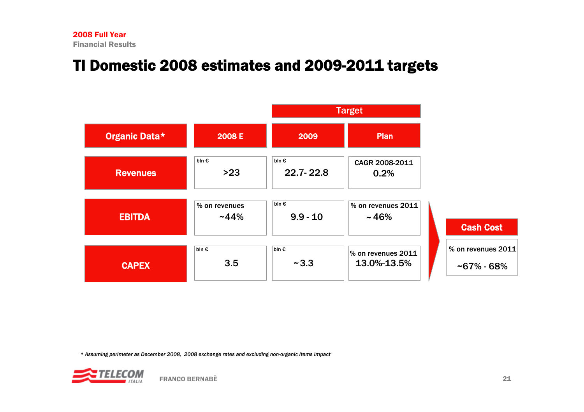# TI Domestic 2008 estimates and 2009-2011 targets



*\* Assuming perimeter as December 2008, 2008 exchange rates and excluding non-organic items impact*